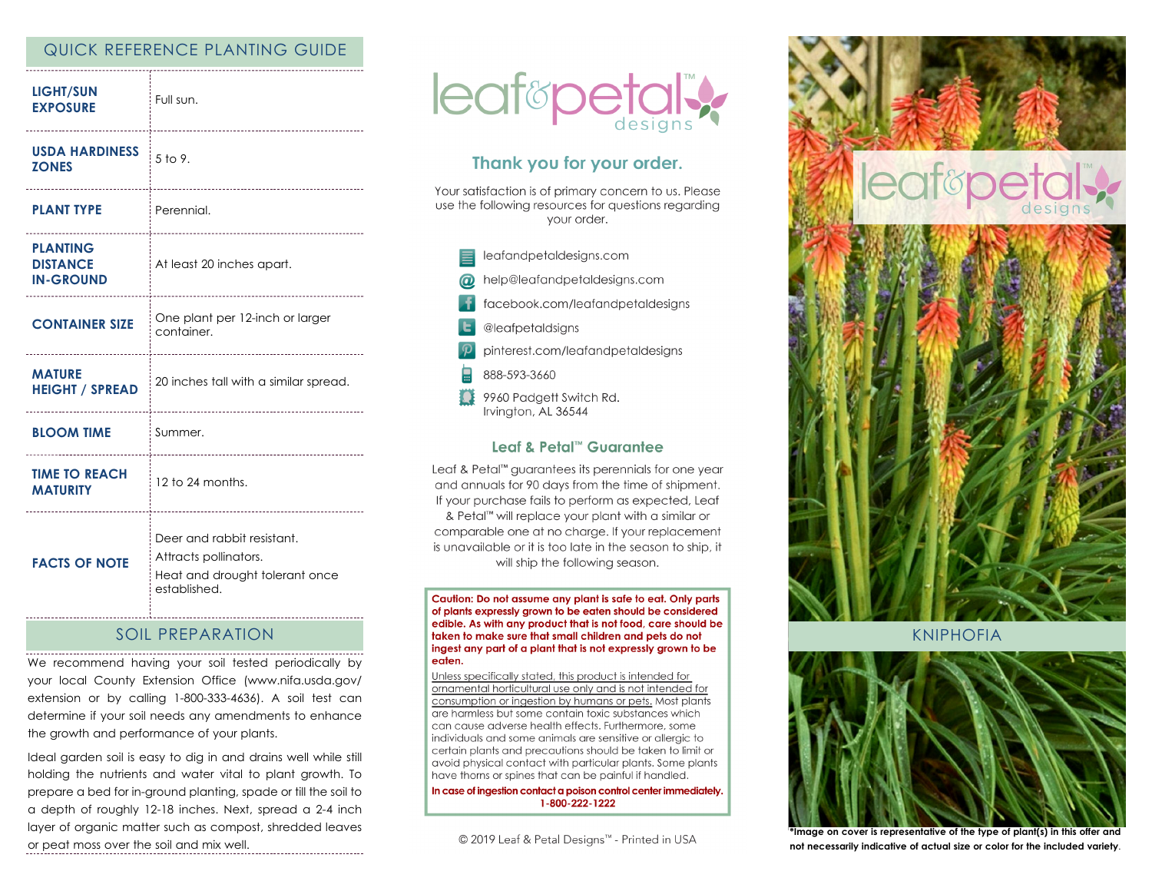## QUICK REFERENCE PLANTING GUIDE

| <b>LIGHT/SUN</b><br><b>EXPOSURE</b>                    | Full sun.<br>                                                                                         |
|--------------------------------------------------------|-------------------------------------------------------------------------------------------------------|
| <b>USDA HARDINESS</b><br><b>ZONES</b>                  | $5$ to 9.<br>-----------------------------                                                            |
| <b>PLANT TYPE</b>                                      | Perennial.<br>---------------------------                                                             |
| <b>PLANTING</b><br><b>DISTANCE</b><br><b>IN-GROUND</b> | At least 20 inches apart.                                                                             |
| <b>CONTAINER SIZE</b>                                  | One plant per 12-inch or larger<br>container.<br>                                                     |
| <b>MATURE</b><br><b>HEIGHT / SPREAD</b>                | 20 inches tall with a similar spread.                                                                 |
| <b>BLOOM TIME</b>                                      | Summer.                                                                                               |
| <b>TIME TO REACH</b><br><b>MATURITY</b>                | 12 to 24 months.                                                                                      |
| <b>FACTS OF NOTE</b>                                   | Deer and rabbit resistant.<br>Attracts pollinators.<br>Heat and drought tolerant once<br>established. |

#### SOIL PREPARATION

We recommend having your soil tested periodically by your local County Extension Office (www.nifa.usda.gov/ extension or by calling 1-800-333-4636). A soil test can determine if your soil needs any amendments to enhance the growth and performance of your plants.

Ideal garden soil is easy to dig in and drains well while still holding the nutrients and water vital to plant growth. To prepare a bed for in-ground planting, spade or till the soil to a depth of roughly 12-18 inches. Next, spread a 2-4 inch layer of organic matter such as compost, shredded leaves or peat moss over the soil and mix well.



# Thank you for your order.

Your satisfaction is of primary concern to us. Please use the following resources for questions regarding your order.



#### Leaf & Petal™ Guarantee

Leaf & Petal<sup>™</sup> guarantees its perennials for one year and annuals for 90 days from the time of shipment. If your purchase fails to perform as expected, Leaf & Petal<sup>™</sup> will replace your plant with a similar or comparable one at no charge. If your replacement is unavailable or it is too late in the season to ship, it will ship the following season.

Caution: Do not assume any plant is safe to eat. Only parts of plants expressly grown to be eaten should be considered edible. As with any product that is not food, care should be taken to make sure that small children and pets do not ingest any part of a plant that is not expressly grown to be eaten.

Unless specifically stated, this product is intended for ornamental horticultural use only and is not intended for consumption or ingestion by humans or pets. Most plants are harmless but some contain toxic substances which can cause adverse health effects. Furthermore, some individuals and some animals are sensitive or allergic to certain plants and precautions should be taken to limit or avoid physical contact with particular plants. Some plants have thorns or spines that can be painful if handled.

In case of ingestion contact a poison control center immediately. 1-800-222-1222

© 2019 Leaf & Petal Designs™ - Printed in USA



KNIPHOFIA



**\*Image on cover is representative of the type of plant(s) in this offer and not necessarily indicative of actual size or color for the included variety**.